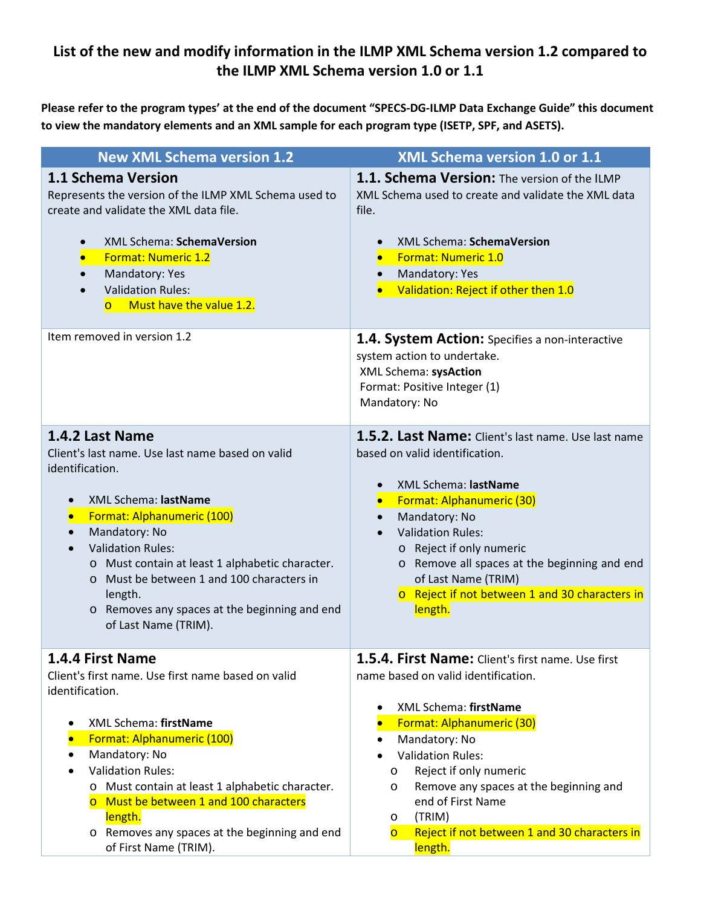## **List of the new and modify information in the ILMP XML Schema version 1.2 compared to the ILMP XML Schema version 1.0 or 1.1**

**Please refer to the program types' at the end of the document "SPECS-DG-ILMP Data Exchange Guide" this document to view the mandatory elements and an XML sample for each program type (ISETP, SPF, and ASETS).** 

| <b>New XML Schema version 1.2</b>                                                                                                                                                                                                                                                                                                                                                                                                 | XML Schema version 1.0 or 1.1                                                                                                                                                                                                                                                                                                                                                                               |
|-----------------------------------------------------------------------------------------------------------------------------------------------------------------------------------------------------------------------------------------------------------------------------------------------------------------------------------------------------------------------------------------------------------------------------------|-------------------------------------------------------------------------------------------------------------------------------------------------------------------------------------------------------------------------------------------------------------------------------------------------------------------------------------------------------------------------------------------------------------|
| <b>1.1 Schema Version</b><br>Represents the version of the ILMP XML Schema used to<br>create and validate the XML data file.<br>XML Schema: SchemaVersion<br><b>Format: Numeric 1.2</b><br>Mandatory: Yes<br><b>Validation Rules:</b><br>Must have the value 1.2.<br>$\overline{O}$                                                                                                                                               | 1.1. Schema Version: The version of the ILMP<br>XML Schema used to create and validate the XML data<br>file.<br>XML Schema: SchemaVersion<br>$\bullet$<br><b>Format: Numeric 1.0</b><br>Mandatory: Yes<br>Validation: Reject if other then 1.0                                                                                                                                                              |
| Item removed in version 1.2                                                                                                                                                                                                                                                                                                                                                                                                       | 1.4. System Action: Specifies a non-interactive<br>system action to undertake.<br>XML Schema: sysAction<br>Format: Positive Integer (1)<br>Mandatory: No                                                                                                                                                                                                                                                    |
| 1.4.2 Last Name<br>Client's last name. Use last name based on valid<br>identification.<br>XML Schema: lastName<br>$\bullet$<br>Format: Alphanumeric (100)<br>$\bullet$<br>Mandatory: No<br>$\bullet$<br><b>Validation Rules:</b><br>$\bullet$<br>o Must contain at least 1 alphabetic character.<br>o Must be between 1 and 100 characters in<br>length.<br>o Removes any spaces at the beginning and end<br>of Last Name (TRIM). | 1.5.2. Last Name: Client's last name. Use last name<br>based on valid identification.<br>XML Schema: lastName<br>$\bullet$<br>Format: Alphanumeric (30)<br>$\bullet$<br>Mandatory: No<br>$\bullet$<br><b>Validation Rules:</b><br>$\bullet$<br>o Reject if only numeric<br>o Remove all spaces at the beginning and end<br>of Last Name (TRIM)<br>o Reject if not between 1 and 30 characters in<br>length. |
| 1.4.4 First Name<br>Client's first name. Use first name based on valid<br>identification.<br>XML Schema: firstName<br>Format: Alphanumeric (100)<br>Mandatory: No<br>$\bullet$<br><b>Validation Rules:</b><br>o Must contain at least 1 alphabetic character.<br>o Must be between 1 and 100 characters<br>length.<br>o Removes any spaces at the beginning and end                                                               | 1.5.4. First Name: Client's first name. Use first<br>name based on valid identification.<br>XML Schema: firstName<br>Format: Alphanumeric (30)<br>Mandatory: No<br>$\bullet$<br><b>Validation Rules:</b><br>Reject if only numeric<br>O<br>Remove any spaces at the beginning and<br>O<br>end of First Name<br>(TRIM)<br>O<br>Reject if not between 1 and 30 characters in<br>$\overline{O}$                |
| of First Name (TRIM).                                                                                                                                                                                                                                                                                                                                                                                                             | length.                                                                                                                                                                                                                                                                                                                                                                                                     |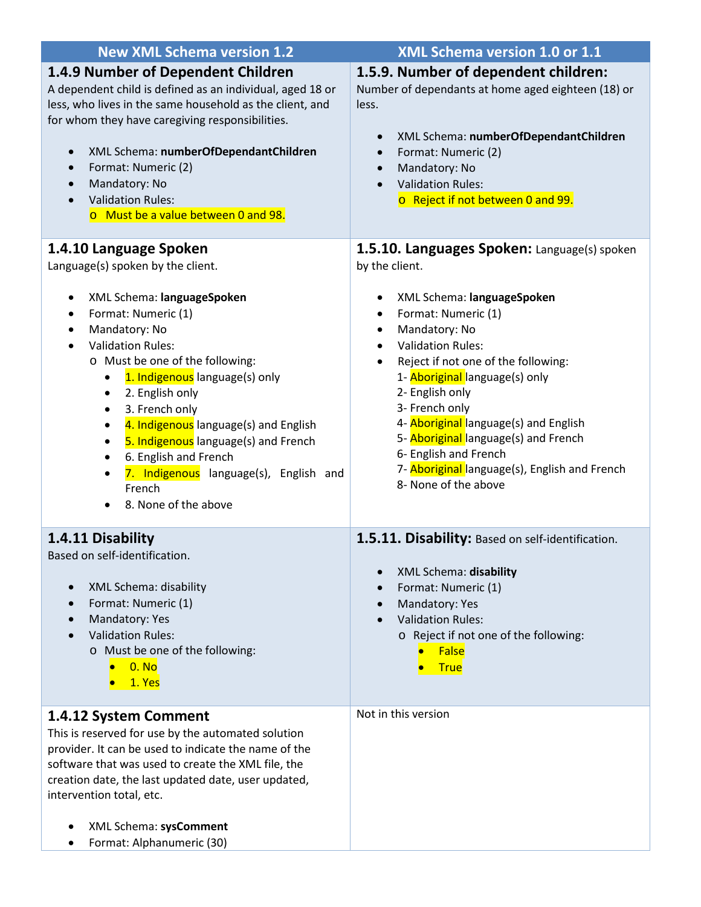| <b>New XML Schema version 1.2</b>                                                                                                                                                                                                                                                                                                                                                                         | XML Schema version 1.0 or 1.1                                                                                                                                                                                                                                                                                                                                               |
|-----------------------------------------------------------------------------------------------------------------------------------------------------------------------------------------------------------------------------------------------------------------------------------------------------------------------------------------------------------------------------------------------------------|-----------------------------------------------------------------------------------------------------------------------------------------------------------------------------------------------------------------------------------------------------------------------------------------------------------------------------------------------------------------------------|
| 1.4.9 Number of Dependent Children<br>A dependent child is defined as an individual, aged 18 or<br>less, who lives in the same household as the client, and<br>for whom they have caregiving responsibilities.<br>XML Schema: numberOfDependantChildren<br>$\bullet$<br>Format: Numeric (2)<br>$\bullet$<br>Mandatory: No<br>$\bullet$<br><b>Validation Rules:</b><br>o Must be a value between 0 and 98. | 1.5.9. Number of dependent children:<br>Number of dependants at home aged eighteen (18) or<br>less.<br>XML Schema: numberOfDependantChildren<br>$\bullet$<br>Format: Numeric (2)<br>$\bullet$<br>Mandatory: No<br>$\bullet$<br><b>Validation Rules:</b><br>$\bullet$<br>o Reject if not between 0 and 99.                                                                   |
| 1.4.10 Language Spoken<br>Language(s) spoken by the client.<br>XML Schema: languageSpoken<br>$\bullet$<br>Format: Numeric (1)<br>$\bullet$<br>Mandatory: No<br>$\bullet$<br><b>Validation Rules:</b><br>$\bullet$<br>o Must be one of the following:<br>1. Indigenous language(s) only<br>$\bullet$<br>2. English only<br>$\bullet$<br>3. French only<br>$\bullet$                                        | 1.5.10. Languages Spoken: Language(s) spoken<br>by the client.<br>XML Schema: languageSpoken<br>Format: Numeric (1)<br>$\bullet$<br>Mandatory: No<br>$\bullet$<br><b>Validation Rules:</b><br>$\bullet$<br>Reject if not one of the following:<br>$\bullet$<br>1- Aboriginal language(s) only<br>2- English only<br>3- French only<br>4- Aboriginal language(s) and English |
| 4. Indigenous language(s) and English<br>$\bullet$<br>5. Indigenous language(s) and French<br>٠<br>6. English and French<br>$\bullet$<br>7. Indigenous language(s), English and<br>٠<br>French<br>8. None of the above<br>$\bullet$<br>1.4.11 Disability                                                                                                                                                  | 5- Aboriginal language(s) and French<br>6- English and French<br>7- Aboriginal language(s), English and French<br>8- None of the above<br>1.5.11. Disability: Based on self-identification.                                                                                                                                                                                 |
| Based on self-identification.<br>XML Schema: disability<br>$\bullet$<br>Format: Numeric (1)<br>$\bullet$<br>Mandatory: Yes<br><b>Validation Rules:</b><br>o Must be one of the following:<br>0. No<br>1. Yes                                                                                                                                                                                              | XML Schema: disability<br>Format: Numeric (1)<br>Mandatory: Yes<br>$\bullet$<br><b>Validation Rules:</b><br>o Reject if not one of the following:<br>False<br>$\bullet$<br><b>True</b>                                                                                                                                                                                      |
| 1.4.12 System Comment<br>This is reserved for use by the automated solution<br>provider. It can be used to indicate the name of the<br>software that was used to create the XML file, the<br>creation date, the last updated date, user updated,<br>intervention total, etc.<br>XML Schema: sysComment<br>$\bullet$<br>Format: Alphanumeric (30)                                                          | Not in this version                                                                                                                                                                                                                                                                                                                                                         |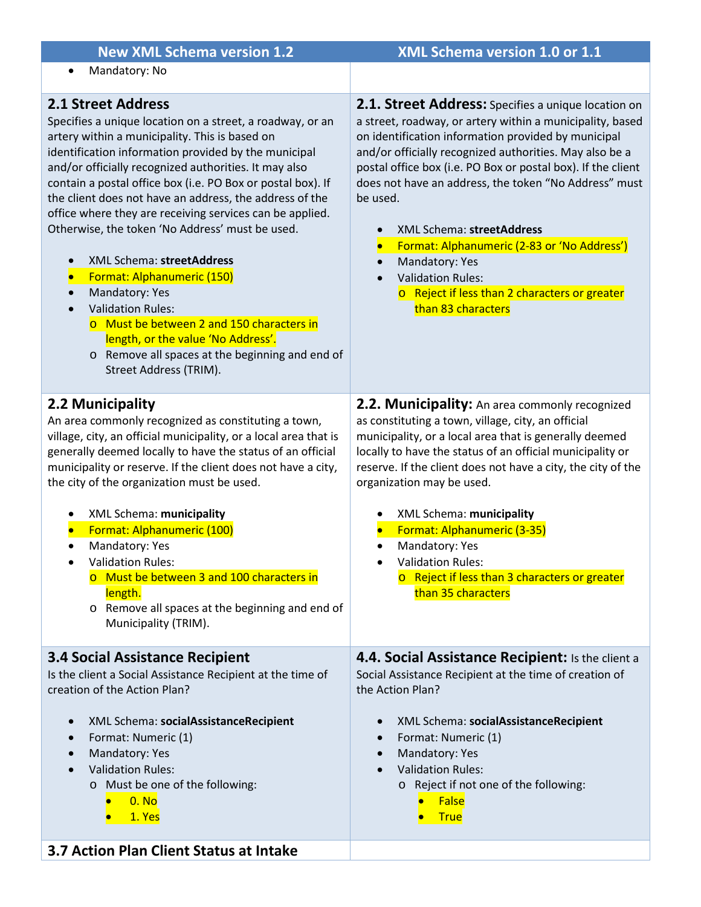| <b>New XML Schema version 1.2</b>                                                                                                                                                                                                                                                                                                                                                                                                                                                                                                                                                                                                                                                                                                                                                                              | XML Schema version 1.0 or 1.1                                                                                                                                                                                                                                                                                                                                                                                                                                                                                                                                                                                   |
|----------------------------------------------------------------------------------------------------------------------------------------------------------------------------------------------------------------------------------------------------------------------------------------------------------------------------------------------------------------------------------------------------------------------------------------------------------------------------------------------------------------------------------------------------------------------------------------------------------------------------------------------------------------------------------------------------------------------------------------------------------------------------------------------------------------|-----------------------------------------------------------------------------------------------------------------------------------------------------------------------------------------------------------------------------------------------------------------------------------------------------------------------------------------------------------------------------------------------------------------------------------------------------------------------------------------------------------------------------------------------------------------------------------------------------------------|
| Mandatory: No<br>$\bullet$                                                                                                                                                                                                                                                                                                                                                                                                                                                                                                                                                                                                                                                                                                                                                                                     |                                                                                                                                                                                                                                                                                                                                                                                                                                                                                                                                                                                                                 |
| <b>2.1 Street Address</b><br>Specifies a unique location on a street, a roadway, or an<br>artery within a municipality. This is based on<br>identification information provided by the municipal<br>and/or officially recognized authorities. It may also<br>contain a postal office box (i.e. PO Box or postal box). If<br>the client does not have an address, the address of the<br>office where they are receiving services can be applied.<br>Otherwise, the token 'No Address' must be used.<br>XML Schema: streetAddress<br>Format: Alphanumeric (150)<br>$\bullet$<br>Mandatory: Yes<br>$\bullet$<br><b>Validation Rules:</b><br>o Must be between 2 and 150 characters in<br>length, or the value 'No Address'.<br>Remove all spaces at the beginning and end of<br>$\circ$<br>Street Address (TRIM). | 2.1. Street Address: Specifies a unique location on<br>a street, roadway, or artery within a municipality, based<br>on identification information provided by municipal<br>and/or officially recognized authorities. May also be a<br>postal office box (i.e. PO Box or postal box). If the client<br>does not have an address, the token "No Address" must<br>be used.<br>XML Schema: streetAddress<br>$\bullet$<br>Format: Alphanumeric (2-83 or 'No Address')<br>Mandatory: Yes<br>$\bullet$<br><b>Validation Rules:</b><br>$\bullet$<br>o Reject if less than 2 characters or greater<br>than 83 characters |
| 2.2 Municipality<br>An area commonly recognized as constituting a town,<br>village, city, an official municipality, or a local area that is<br>generally deemed locally to have the status of an official<br>municipality or reserve. If the client does not have a city,<br>the city of the organization must be used.<br>XML Schema: municipality<br>Format: Alphanumeric (100)<br>Mandatory: Yes<br>$\bullet$<br><b>Validation Rules:</b><br>Must be between 3 and 100 characters in<br>length.<br>o Remove all spaces at the beginning and end of<br>Municipality (TRIM).                                                                                                                                                                                                                                  | 2.2. Municipality: An area commonly recognized<br>as constituting a town, village, city, an official<br>municipality, or a local area that is generally deemed<br>locally to have the status of an official municipality or<br>reserve. If the client does not have a city, the city of the<br>organization may be used.<br>XML Schema: municipality<br>Format: Alphanumeric (3-35)<br>Mandatory: Yes<br>$\bullet$<br><b>Validation Rules:</b><br>Reject if less than 3 characters or greater<br>$\circ$<br>than 35 characters                                                                                  |
| <b>3.4 Social Assistance Recipient</b><br>Is the client a Social Assistance Recipient at the time of<br>creation of the Action Plan?<br>XML Schema: socialAssistanceRecipient<br>$\bullet$<br>Format: Numeric (1)<br>$\bullet$<br>Mandatory: Yes<br>$\bullet$<br><b>Validation Rules:</b><br>o Must be one of the following:<br>0. N <sub>0</sub><br>1. Yes                                                                                                                                                                                                                                                                                                                                                                                                                                                    | 4.4. Social Assistance Recipient: Is the client a<br>Social Assistance Recipient at the time of creation of<br>the Action Plan?<br>XML Schema: socialAssistanceRecipient<br>$\bullet$<br>Format: Numeric (1)<br>$\bullet$<br>Mandatory: Yes<br>$\bullet$<br><b>Validation Rules:</b><br>o Reject if not one of the following:<br><b>False</b><br>$\bullet$<br><b>True</b>                                                                                                                                                                                                                                       |
| 3.7 Action Plan Client Status at Intake                                                                                                                                                                                                                                                                                                                                                                                                                                                                                                                                                                                                                                                                                                                                                                        |                                                                                                                                                                                                                                                                                                                                                                                                                                                                                                                                                                                                                 |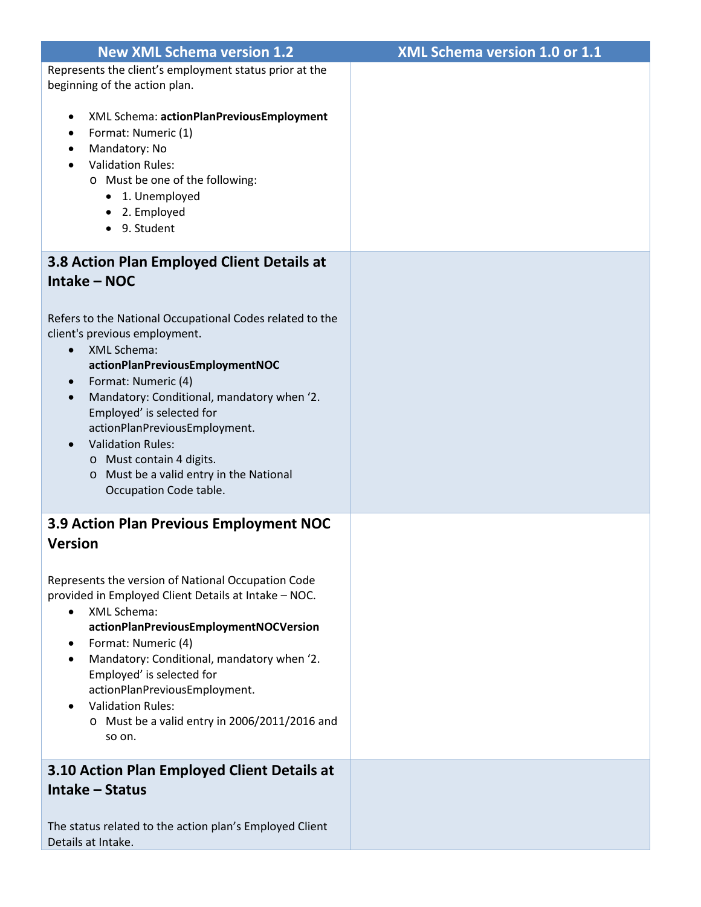| <b>New XML Schema version 1.2</b>                                                                                                                                                                                                                                                                                                                                                                                                                                      | XML Schema version 1.0 or 1.1 |
|------------------------------------------------------------------------------------------------------------------------------------------------------------------------------------------------------------------------------------------------------------------------------------------------------------------------------------------------------------------------------------------------------------------------------------------------------------------------|-------------------------------|
| Represents the client's employment status prior at the                                                                                                                                                                                                                                                                                                                                                                                                                 |                               |
| beginning of the action plan.                                                                                                                                                                                                                                                                                                                                                                                                                                          |                               |
| XML Schema: actionPlanPreviousEmployment<br>٠<br>Format: Numeric (1)<br>Mandatory: No<br>٠<br><b>Validation Rules:</b><br>o Must be one of the following:<br>• 1. Unemployed<br>• 2. Employed<br>• 9. Student                                                                                                                                                                                                                                                          |                               |
| 3.8 Action Plan Employed Client Details at                                                                                                                                                                                                                                                                                                                                                                                                                             |                               |
| Intake - NOC                                                                                                                                                                                                                                                                                                                                                                                                                                                           |                               |
|                                                                                                                                                                                                                                                                                                                                                                                                                                                                        |                               |
| Refers to the National Occupational Codes related to the<br>client's previous employment.<br><b>XML Schema:</b><br>$\bullet$<br>actionPlanPreviousEmploymentNOC<br>Format: Numeric (4)<br>$\bullet$<br>Mandatory: Conditional, mandatory when '2.<br>$\bullet$<br>Employed' is selected for<br>actionPlanPreviousEmployment.<br><b>Validation Rules:</b><br>$\bullet$<br>o Must contain 4 digits.<br>o Must be a valid entry in the National<br>Occupation Code table. |                               |
| 3.9 Action Plan Previous Employment NOC                                                                                                                                                                                                                                                                                                                                                                                                                                |                               |
| <b>Version</b>                                                                                                                                                                                                                                                                                                                                                                                                                                                         |                               |
| Represents the version of National Occupation Code<br>provided in Employed Client Details at Intake - NOC.<br><b>XML Schema:</b><br>$\bullet$<br>actionPlanPreviousEmploymentNOCVersion<br>Format: Numeric (4)<br>$\bullet$<br>Mandatory: Conditional, mandatory when '2.<br>$\bullet$<br>Employed' is selected for<br>actionPlanPreviousEmployment.<br><b>Validation Rules:</b><br>$\bullet$<br>o Must be a valid entry in 2006/2011/2016 and<br>so on.               |                               |
| 3.10 Action Plan Employed Client Details at                                                                                                                                                                                                                                                                                                                                                                                                                            |                               |
| Intake - Status                                                                                                                                                                                                                                                                                                                                                                                                                                                        |                               |
| The status related to the action plan's Employed Client<br>Details at Intake.                                                                                                                                                                                                                                                                                                                                                                                          |                               |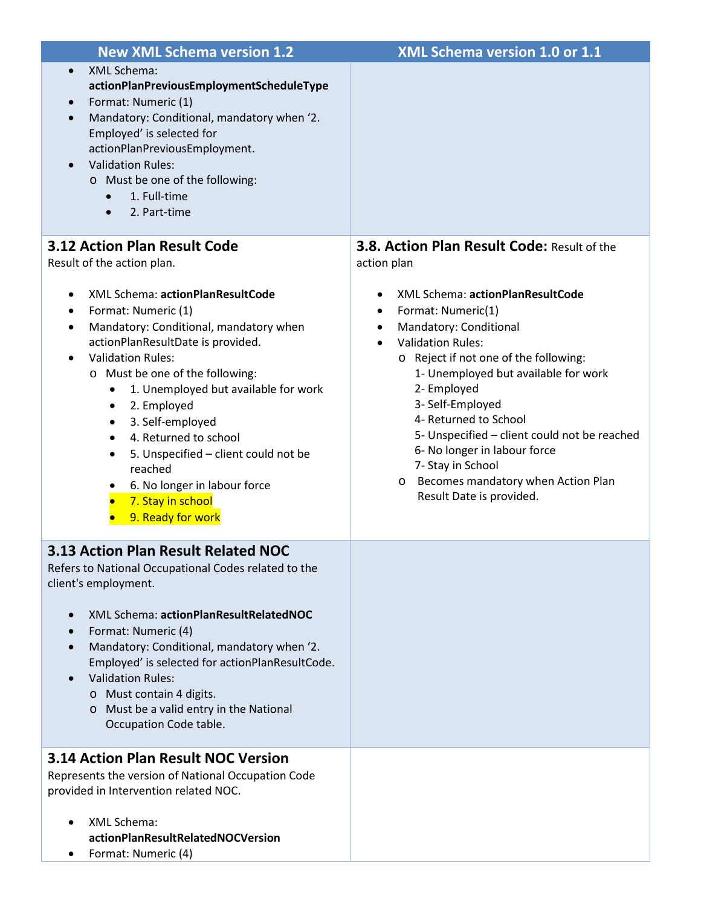| <b>New XML Schema version 1.2</b>                                                                                                                                                                                                                                                                                                                                                                                                                                                                                                               | XML Schema version 1.0 or 1.1                                                                                                                                                                                                                                                                                                                                                                                                                                    |
|-------------------------------------------------------------------------------------------------------------------------------------------------------------------------------------------------------------------------------------------------------------------------------------------------------------------------------------------------------------------------------------------------------------------------------------------------------------------------------------------------------------------------------------------------|------------------------------------------------------------------------------------------------------------------------------------------------------------------------------------------------------------------------------------------------------------------------------------------------------------------------------------------------------------------------------------------------------------------------------------------------------------------|
| XML Schema:<br>$\bullet$<br>actionPlanPreviousEmploymentScheduleType<br>Format: Numeric (1)<br>$\bullet$<br>Mandatory: Conditional, mandatory when '2.<br>$\bullet$<br>Employed' is selected for<br>actionPlanPreviousEmployment.<br><b>Validation Rules:</b><br>o Must be one of the following:<br>1. Full-time<br>$\bullet$<br>2. Part-time<br>$\bullet$                                                                                                                                                                                      |                                                                                                                                                                                                                                                                                                                                                                                                                                                                  |
| <b>3.12 Action Plan Result Code</b>                                                                                                                                                                                                                                                                                                                                                                                                                                                                                                             | <b>3.8. Action Plan Result Code: Result of the</b>                                                                                                                                                                                                                                                                                                                                                                                                               |
| Result of the action plan.<br>XML Schema: actionPlanResultCode<br>Format: Numeric (1)<br>Mandatory: Conditional, mandatory when<br>٠<br>actionPlanResultDate is provided.<br><b>Validation Rules:</b><br>$\bullet$<br>o Must be one of the following:<br>1. Unemployed but available for work<br>$\bullet$<br>2. Employed<br>$\bullet$<br>3. Self-employed<br>$\bullet$<br>4. Returned to school<br>$\bullet$<br>5. Unspecified - client could not be<br>٠<br>reached<br>6. No longer in labour force<br>7. Stay in school<br>9. Ready for work | action plan<br>XML Schema: actionPlanResultCode<br>٠<br>Format: Numeric(1)<br>٠<br>Mandatory: Conditional<br>٠<br><b>Validation Rules:</b><br>o Reject if not one of the following:<br>1- Unemployed but available for work<br>2- Employed<br>3- Self-Employed<br>4- Returned to School<br>5- Unspecified - client could not be reached<br>6- No longer in labour force<br>7- Stay in School<br>o Becomes mandatory when Action Plan<br>Result Date is provided. |
| 3.13 Action Plan Result Related NOC<br>Refers to National Occupational Codes related to the<br>client's employment.<br>XML Schema: actionPlanResultRelatedNOC<br>Format: Numeric (4)<br>Mandatory: Conditional, mandatory when '2.<br>Employed' is selected for actionPlanResultCode.<br><b>Validation Rules:</b>                                                                                                                                                                                                                               |                                                                                                                                                                                                                                                                                                                                                                                                                                                                  |
| o Must contain 4 digits.<br>o Must be a valid entry in the National<br>Occupation Code table.<br><b>3.14 Action Plan Result NOC Version</b>                                                                                                                                                                                                                                                                                                                                                                                                     |                                                                                                                                                                                                                                                                                                                                                                                                                                                                  |
| Represents the version of National Occupation Code<br>provided in Intervention related NOC.<br>XML Schema:                                                                                                                                                                                                                                                                                                                                                                                                                                      |                                                                                                                                                                                                                                                                                                                                                                                                                                                                  |
| actionPlanResultRelatedNOCVersion<br>Format: Numeric (4)                                                                                                                                                                                                                                                                                                                                                                                                                                                                                        |                                                                                                                                                                                                                                                                                                                                                                                                                                                                  |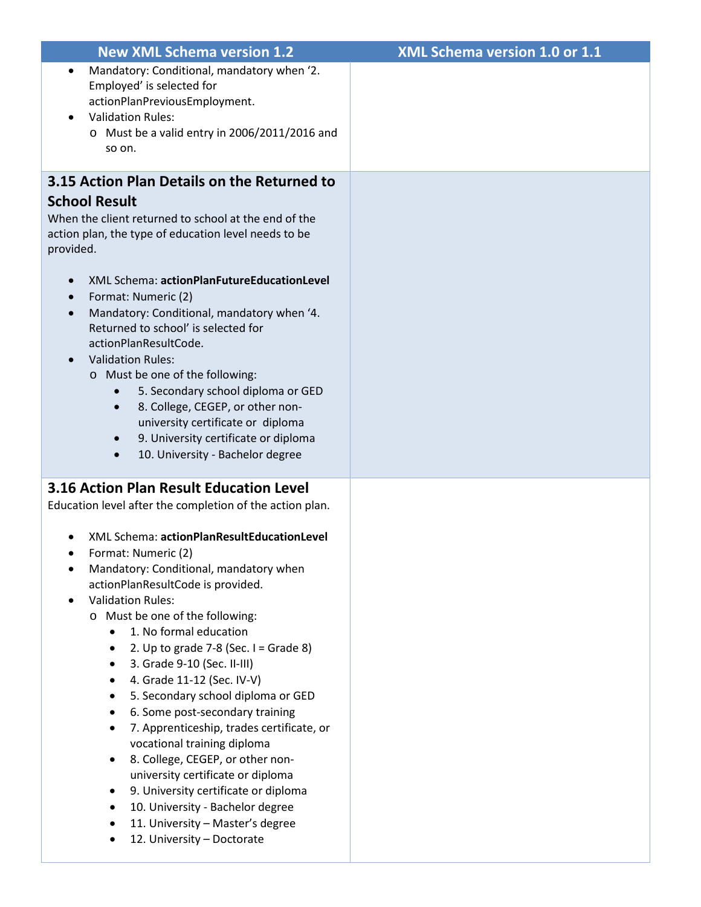| <b>New XML Schema version 1.2</b>                                                                                                                                                                                                                                                                                                                                                                                                                                                                                                                                                                                                                                                                                                          | <b>XML Schema version 1.0 or 1.1</b> |
|--------------------------------------------------------------------------------------------------------------------------------------------------------------------------------------------------------------------------------------------------------------------------------------------------------------------------------------------------------------------------------------------------------------------------------------------------------------------------------------------------------------------------------------------------------------------------------------------------------------------------------------------------------------------------------------------------------------------------------------------|--------------------------------------|
| Mandatory: Conditional, mandatory when '2.<br>$\bullet$<br>Employed' is selected for<br>actionPlanPreviousEmployment.<br><b>Validation Rules:</b><br>o Must be a valid entry in 2006/2011/2016 and<br>so on.                                                                                                                                                                                                                                                                                                                                                                                                                                                                                                                               |                                      |
| 3.15 Action Plan Details on the Returned to                                                                                                                                                                                                                                                                                                                                                                                                                                                                                                                                                                                                                                                                                                |                                      |
| <b>School Result</b><br>When the client returned to school at the end of the<br>action plan, the type of education level needs to be<br>provided.                                                                                                                                                                                                                                                                                                                                                                                                                                                                                                                                                                                          |                                      |
| XML Schema: actionPlanFutureEducationLevel<br>Format: Numeric (2)<br>Mandatory: Conditional, mandatory when '4.<br>Returned to school' is selected for<br>actionPlanResultCode.<br><b>Validation Rules:</b><br>o Must be one of the following:<br>5. Secondary school diploma or GED<br>$\bullet$<br>8. College, CEGEP, or other non-<br>$\bullet$<br>university certificate or diploma<br>9. University certificate or diploma<br>$\bullet$<br>10. University - Bachelor degree<br>$\bullet$                                                                                                                                                                                                                                              |                                      |
| <b>3.16 Action Plan Result Education Level</b><br>Education level after the completion of the action plan.                                                                                                                                                                                                                                                                                                                                                                                                                                                                                                                                                                                                                                 |                                      |
| XML Schema: actionPlanResultEducationLevel<br>Format: Numeric (2)<br>Mandatory: Conditional, mandatory when<br>actionPlanResultCode is provided.<br><b>Validation Rules:</b><br>o Must be one of the following:<br>1. No formal education<br>2. Up to grade $7-8$ (Sec. I = Grade 8)<br>3. Grade 9-10 (Sec. II-III)<br>4. Grade 11-12 (Sec. IV-V)<br>5. Secondary school diploma or GED<br>6. Some post-secondary training<br>7. Apprenticeship, trades certificate, or<br>vocational training diploma<br>8. College, CEGEP, or other non-<br>$\bullet$<br>university certificate or diploma<br>9. University certificate or diploma<br>10. University - Bachelor degree<br>11. University - Master's degree<br>12. University - Doctorate |                                      |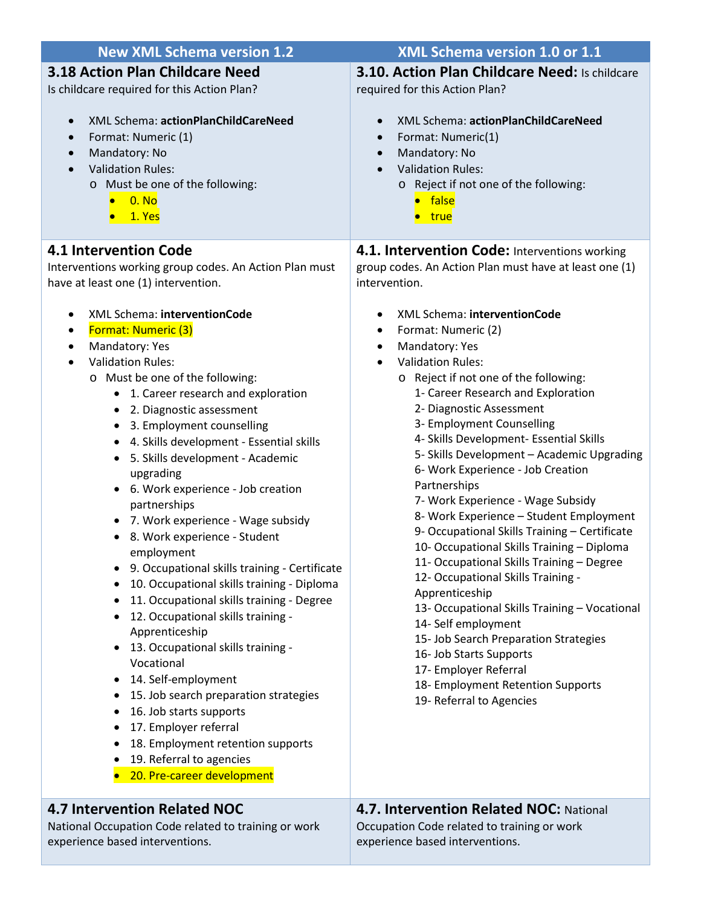| <b>New XML Schema version 1.2</b>                                                                                                                                                                                                                                                                                                                                                                                                                                                                                                                                                                                                                                                                                                                                                                                                                                                                                                                                                                                                                                                      | XML Schema version 1.0 or 1.1                                                                                                                                                                                                                                                                                                                                                                                                                                                                                                                                                                                                                                                                                                                                                                                                                                                                                                                                         |
|----------------------------------------------------------------------------------------------------------------------------------------------------------------------------------------------------------------------------------------------------------------------------------------------------------------------------------------------------------------------------------------------------------------------------------------------------------------------------------------------------------------------------------------------------------------------------------------------------------------------------------------------------------------------------------------------------------------------------------------------------------------------------------------------------------------------------------------------------------------------------------------------------------------------------------------------------------------------------------------------------------------------------------------------------------------------------------------|-----------------------------------------------------------------------------------------------------------------------------------------------------------------------------------------------------------------------------------------------------------------------------------------------------------------------------------------------------------------------------------------------------------------------------------------------------------------------------------------------------------------------------------------------------------------------------------------------------------------------------------------------------------------------------------------------------------------------------------------------------------------------------------------------------------------------------------------------------------------------------------------------------------------------------------------------------------------------|
| <b>3.18 Action Plan Childcare Need</b>                                                                                                                                                                                                                                                                                                                                                                                                                                                                                                                                                                                                                                                                                                                                                                                                                                                                                                                                                                                                                                                 | 3.10. Action Plan Childcare Need: Is childcare                                                                                                                                                                                                                                                                                                                                                                                                                                                                                                                                                                                                                                                                                                                                                                                                                                                                                                                        |
| Is childcare required for this Action Plan?                                                                                                                                                                                                                                                                                                                                                                                                                                                                                                                                                                                                                                                                                                                                                                                                                                                                                                                                                                                                                                            | required for this Action Plan?                                                                                                                                                                                                                                                                                                                                                                                                                                                                                                                                                                                                                                                                                                                                                                                                                                                                                                                                        |
| XML Schema: actionPlanChildCareNeed<br>$\bullet$<br>Format: Numeric (1)<br>$\bullet$<br>Mandatory: No<br>$\bullet$<br><b>Validation Rules:</b><br>$\bullet$<br>o Must be one of the following:<br>0. No<br>1. Yes                                                                                                                                                                                                                                                                                                                                                                                                                                                                                                                                                                                                                                                                                                                                                                                                                                                                      | XML Schema: actionPlanChildCareNeed<br>$\bullet$<br>Format: Numeric(1)<br>$\bullet$<br>Mandatory: No<br>$\bullet$<br><b>Validation Rules:</b><br>o Reject if not one of the following:<br><b>•</b> false<br>• true                                                                                                                                                                                                                                                                                                                                                                                                                                                                                                                                                                                                                                                                                                                                                    |
| <b>4.1 Intervention Code</b>                                                                                                                                                                                                                                                                                                                                                                                                                                                                                                                                                                                                                                                                                                                                                                                                                                                                                                                                                                                                                                                           | 4.1. Intervention Code: Interventions working                                                                                                                                                                                                                                                                                                                                                                                                                                                                                                                                                                                                                                                                                                                                                                                                                                                                                                                         |
| Interventions working group codes. An Action Plan must                                                                                                                                                                                                                                                                                                                                                                                                                                                                                                                                                                                                                                                                                                                                                                                                                                                                                                                                                                                                                                 | group codes. An Action Plan must have at least one (1)                                                                                                                                                                                                                                                                                                                                                                                                                                                                                                                                                                                                                                                                                                                                                                                                                                                                                                                |
| have at least one (1) intervention.                                                                                                                                                                                                                                                                                                                                                                                                                                                                                                                                                                                                                                                                                                                                                                                                                                                                                                                                                                                                                                                    | intervention.                                                                                                                                                                                                                                                                                                                                                                                                                                                                                                                                                                                                                                                                                                                                                                                                                                                                                                                                                         |
| XML Schema: interventionCode<br>٠<br>Format: Numeric (3)<br>٠<br>Mandatory: Yes<br>$\bullet$<br><b>Validation Rules:</b><br>$\bullet$<br>o Must be one of the following:<br>1. Career research and exploration<br>2. Diagnostic assessment<br>$\bullet$<br>3. Employment counselling<br>4. Skills development - Essential skills<br>$\bullet$<br>5. Skills development - Academic<br>$\bullet$<br>upgrading<br>6. Work experience - Job creation<br>$\bullet$<br>partnerships<br>• 7. Work experience - Wage subsidy<br>8. Work experience - Student<br>employment<br>9. Occupational skills training - Certificate<br>10. Occupational skills training - Diploma<br>11. Occupational skills training - Degree<br>$\bullet$<br>12. Occupational skills training -<br>٠<br>Apprenticeship<br>13. Occupational skills training -<br>٠<br>Vocational<br>14. Self-employment<br>$\bullet$<br>15. Job search preparation strategies<br>16. Job starts supports<br>17. Employer referral<br>٠<br>18. Employment retention supports<br>19. Referral to agencies<br>20. Pre-career development | XML Schema: interventionCode<br>$\bullet$<br>Format: Numeric (2)<br>$\bullet$<br>Mandatory: Yes<br>$\bullet$<br><b>Validation Rules:</b><br>$\bullet$<br>o Reject if not one of the following:<br>1- Career Research and Exploration<br>2- Diagnostic Assessment<br>3- Employment Counselling<br>4- Skills Development- Essential Skills<br>5- Skills Development - Academic Upgrading<br>6- Work Experience - Job Creation<br>Partnerships<br>7- Work Experience - Wage Subsidy<br>8- Work Experience - Student Employment<br>9- Occupational Skills Training - Certificate<br>10- Occupational Skills Training - Diploma<br>11- Occupational Skills Training - Degree<br>12- Occupational Skills Training -<br>Apprenticeship<br>13- Occupational Skills Training - Vocational<br>14- Self employment<br>15- Job Search Preparation Strategies<br>16- Job Starts Supports<br>17- Employer Referral<br>18- Employment Retention Supports<br>19- Referral to Agencies |
| <b>4.7 Intervention Related NOC</b>                                                                                                                                                                                                                                                                                                                                                                                                                                                                                                                                                                                                                                                                                                                                                                                                                                                                                                                                                                                                                                                    | <b>4.7. Intervention Related NOC: National</b>                                                                                                                                                                                                                                                                                                                                                                                                                                                                                                                                                                                                                                                                                                                                                                                                                                                                                                                        |
| National Occupation Code related to training or work                                                                                                                                                                                                                                                                                                                                                                                                                                                                                                                                                                                                                                                                                                                                                                                                                                                                                                                                                                                                                                   | Occupation Code related to training or work                                                                                                                                                                                                                                                                                                                                                                                                                                                                                                                                                                                                                                                                                                                                                                                                                                                                                                                           |

experience based interventions.

Occupation Code related to training or work experience based interventions.